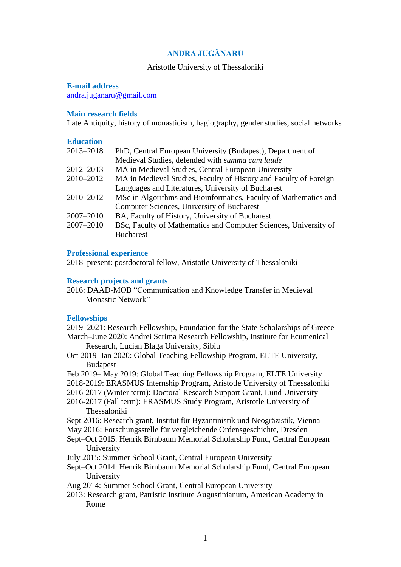# **ANDRA JUGĂNARU**

### Aristotle University of Thessaloniki

#### **E-mail address**

[andra.juganaru@gmail.com](mailto:andra.juganaru@gmail.com)

## **Main research fields**

Late Antiquity, history of monasticism, hagiography, gender studies, social networks

#### **Education**

| 2013-2018 | PhD, Central European University (Budapest), Department of        |
|-----------|-------------------------------------------------------------------|
|           | Medieval Studies, defended with summa cum laude                   |
| 2012-2013 | MA in Medieval Studies, Central European University               |
| 2010-2012 | MA in Medieval Studies, Faculty of History and Faculty of Foreign |
|           | Languages and Literatures, University of Bucharest                |
| 2010-2012 | MSc in Algorithms and Bioinformatics, Faculty of Mathematics and  |
|           | Computer Sciences, University of Bucharest                        |
| 2007-2010 | BA, Faculty of History, University of Bucharest                   |
| 2007-2010 | BSc, Faculty of Mathematics and Computer Sciences, University of  |
|           | <b>Bucharest</b>                                                  |
|           |                                                                   |

## **Professional experience**

2018–present: postdoctoral fellow, Aristotle University of Thessaloniki

#### **Research projects and grants**

2016: DAAD-MOB "Communication and Knowledge Transfer in Medieval Monastic Network"

## **Fellowships**

2019–2021: Research Fellowship, Foundation for the State Scholarships of Greece March–June 2020: Andrei Scrima Research Fellowship, Institute for Ecumenical

- Research, Lucian Blaga University, Sibiu Oct 2019–Jan 2020: Global Teaching Fellowship Program, ELTE University,
	- Budapest
- Feb 2019– May 2019: Global Teaching Fellowship Program, ELTE University
- 2018-2019: ERASMUS Internship Program, Aristotle University of Thessaloniki
- 2016-2017 (Winter term): Doctoral Research Support Grant, Lund University
- 2016-2017 (Fall term): ERASMUS Study Program, Aristotle University of Thessaloniki
- Sept 2016: Research grant, Institut für Byzantinistik und Neogräzistik, Vienna
- May 2016: Forschungsstelle für vergleichende Ordensgeschichte, Dresden
- Sept–Oct 2015: Henrik Birnbaum Memorial Scholarship Fund, Central European University
- July 2015: Summer School Grant, Central European University
- Sept–Oct 2014: Henrik Birnbaum Memorial Scholarship Fund, Central European University
- Aug 2014: Summer School Grant, Central European University
- 2013: Research grant, Patristic Institute Augustinianum, American Academy in Rome